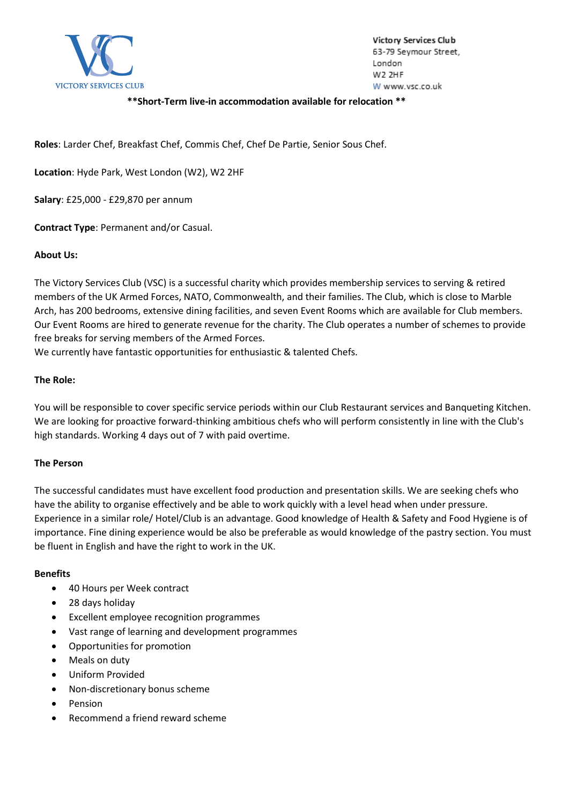

Victory Services Club 63-79 Seymour Street, London W2 2HF W www.vsc.co.uk

# **\*\*Short-Term live-in accommodation available for relocation \*\***

**Roles**: Larder Chef, Breakfast Chef, Commis Chef, Chef De Partie, Senior Sous Chef.

**Location**: Hyde Park, West London (W2), W2 2HF

**Salary**: £25,000 - £29,870 per annum

**Contract Type**: Permanent and/or Casual.

## **About Us:**

The Victory Services Club (VSC) is a successful charity which provides membership services to serving & retired members of the UK Armed Forces, NATO, Commonwealth, and their families. The Club, which is close to Marble Arch, has 200 bedrooms, extensive dining facilities, and seven Event Rooms which are available for Club members. Our Event Rooms are hired to generate revenue for the charity. The Club operates a number of schemes to provide free breaks for serving members of the Armed Forces.

We currently have fantastic opportunities for enthusiastic & talented Chefs.

# **The Role:**

You will be responsible to cover specific service periods within our Club Restaurant services and Banqueting Kitchen. We are looking for proactive forward-thinking ambitious chefs who will perform consistently in line with the Club's high standards. Working 4 days out of 7 with paid overtime.

## **The Person**

The successful candidates must have excellent food production and presentation skills. We are seeking chefs who have the ability to organise effectively and be able to work quickly with a level head when under pressure. Experience in a similar role/ Hotel/Club is an advantage. Good knowledge of Health & Safety and Food Hygiene is of importance. Fine dining experience would be also be preferable as would knowledge of the pastry section. You must be fluent in English and have the right to work in the UK.

## **Benefits**

- 40 Hours per Week contract
- 28 days holiday
- Excellent employee recognition programmes
- Vast range of learning and development programmes
- Opportunities for promotion
- Meals on duty
- Uniform Provided
- Non-discretionary bonus scheme
- Pension
- Recommend a friend reward scheme